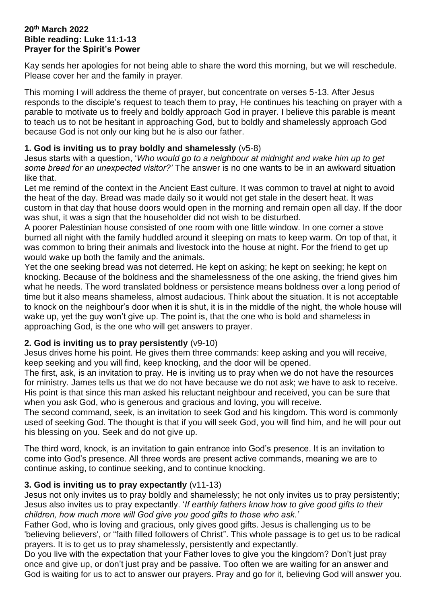## **20th March 2022 Bible reading: Luke 11:1-13 Prayer for the Spirit's Power**

Kay sends her apologies for not being able to share the word this morning, but we will reschedule. Please cover her and the family in prayer.

This morning I will address the theme of prayer, but concentrate on verses 5-13. After Jesus responds to the disciple's request to teach them to pray, He continues his teaching on prayer with a parable to motivate us to freely and boldly approach God in prayer. I believe this parable is meant to teach us to not be hesitant in approaching God, but to boldly and shamelessly approach God because God is not only our king but he is also our father.

## **1. God is inviting us to pray boldly and shamelessly** (v5-8)

Jesus starts with a question, '*Who would go to a neighbour at midnight and wake him up to get some bread for an unexpected visitor?'* The answer is no one wants to be in an awkward situation like that.

Let me remind of the context in the Ancient East culture. It was common to travel at night to avoid the heat of the day. Bread was made daily so it would not get stale in the desert heat. It was custom in that day that house doors would open in the morning and remain open all day. If the door was shut, it was a sign that the householder did not wish to be disturbed.

A poorer Palestinian house consisted of one room with one little window. In one corner a stove burned all night with the family huddled around it sleeping on mats to keep warm. On top of that, it was common to bring their animals and livestock into the house at night. For the friend to get up would wake up both the family and the animals.

Yet the one seeking bread was not deterred. He kept on asking; he kept on seeking; he kept on knocking. Because of the boldness and the shamelessness of the one asking, the friend gives him what he needs. The word translated boldness or persistence means boldness over a long period of time but it also means shameless, almost audacious. Think about the situation. It is not acceptable to knock on the neighbour's door when it is shut, it is in the middle of the night, the whole house will wake up, yet the guy won't give up. The point is, that the one who is bold and shameless in approaching God, is the one who will get answers to prayer.

## **2. God is inviting us to pray persistently** (v9-10)

Jesus drives home his point. He gives them three commands: keep asking and you will receive, keep seeking and you will find, keep knocking, and the door will be opened.

The first, ask, is an invitation to pray. He is inviting us to pray when we do not have the resources for ministry. James tells us that we do not have because we do not ask; we have to ask to receive. His point is that since this man asked his reluctant neighbour and received, you can be sure that when you ask God, who is generous and gracious and loving, you will receive.

The second command, seek, is an invitation to seek God and his kingdom. This word is commonly used of seeking God. The thought is that if you will seek God, you will find him, and he will pour out his blessing on you. Seek and do not give up.

The third word, knock, is an invitation to gain entrance into God's presence. It is an invitation to come into God's presence. All three words are present active commands, meaning we are to continue asking, to continue seeking, and to continue knocking.

## **3. God is inviting us to pray expectantly** (v11-13)

Jesus not only invites us to pray boldly and shamelessly; he not only invites us to pray persistently; Jesus also invites us to pray expectantly. '*If earthly fathers know how to give good gifts to their children, how much more will God give you good gifts to those who ask.'*

Father God, who is loving and gracious, only gives good gifts. Jesus is challenging us to be 'believing believers', or "faith filled followers of Christ". This whole passage is to get us to be radical prayers. It is to get us to pray shamelessly, persistently and expectantly.

Do you live with the expectation that your Father loves to give you the kingdom? Don't just pray once and give up, or don't just pray and be passive. Too often we are waiting for an answer and God is waiting for us to act to answer our prayers. Pray and go for it, believing God will answer you.